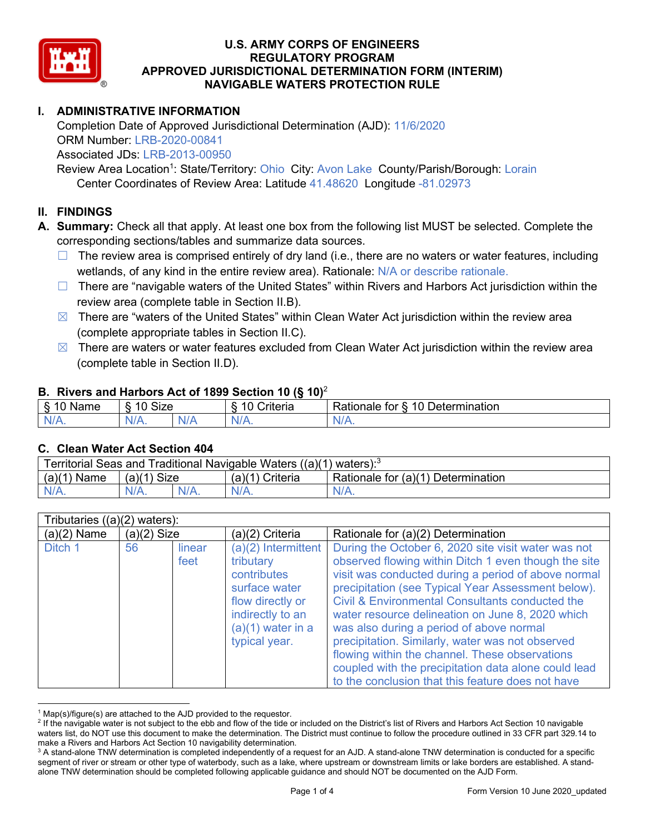

# **I. ADMINISTRATIVE INFORMATION**

Completion Date of Approved Jurisdictional Determination (AJD): 11/6/2020 ORM Number: LRB-2020-00841 Associated JDs: LRB-2013-00950

Review Area Location<sup>1</sup>: State/Territory: Ohio City: Avon Lake County/Parish/Borough: Lorain Center Coordinates of Review Area: Latitude 41.48620 Longitude -81.02973

### **II. FINDINGS**

**A. Summary:** Check all that apply. At least one box from the following list MUST be selected. Complete the corresponding sections/tables and summarize data sources.

- $\Box$  The review area is comprised entirely of dry land (i.e., there are no waters or water features, including wetlands, of any kind in the entire review area). Rationale: N/A or describe rationale.
- $\Box$  There are "navigable waters of the United States" within Rivers and Harbors Act jurisdiction within the review area (complete table in Section II.B).
- $\boxtimes$  There are "waters of the United States" within Clean Water Act jurisdiction within the review area (complete appropriate tables in Section II.C).
- $\boxtimes$  There are waters or water features excluded from Clean Water Act jurisdiction within the review area (complete table in Section II.D).

#### **B. Rivers and Harbors Act of 1899 Section 10 (§ 10)**<sup>2</sup>

|                                        |            |     | $\cdot$                  |                                                         |
|----------------------------------------|------------|-----|--------------------------|---------------------------------------------------------|
| $\sim$<br>100 <sup>2</sup><br>ame<br>v | Size<br>10 |     | .<br>10<br>-<br>∶riteria | ∽<br>-<br>$\Delta$<br>Rationale<br>Jetermination<br>tor |
| $N/A$ .                                | $N/A$ .    | N/r | $N/A$ .                  | 'NL<br>$\mathbf{v}$                                     |

#### **C. Clean Water Act Section 404**

| Territorial Seas and Traditional Navigable Waters $((a)(1)$ waters): <sup>3</sup> |                |  |                 |                                    |  |  |
|-----------------------------------------------------------------------------------|----------------|--|-----------------|------------------------------------|--|--|
| (a)(1)<br>Name                                                                    | Size<br>(a)(1) |  | (a)(1) Criteria | Rationale for (a)(1) Determination |  |  |
|                                                                                   | $N/A$ .        |  | $N/A$ .         | $N/A$ .                            |  |  |

| Tributaries $((a)(2)$ waters): |               |                |                                                                                                                                                    |                                                                                                                                                                                                                                                                                                                                                                                                                                                                                                                                                                                                |  |  |
|--------------------------------|---------------|----------------|----------------------------------------------------------------------------------------------------------------------------------------------------|------------------------------------------------------------------------------------------------------------------------------------------------------------------------------------------------------------------------------------------------------------------------------------------------------------------------------------------------------------------------------------------------------------------------------------------------------------------------------------------------------------------------------------------------------------------------------------------------|--|--|
| $(a)(2)$ Name                  | $(a)(2)$ Size |                | (a)(2) Criteria                                                                                                                                    | Rationale for (a)(2) Determination                                                                                                                                                                                                                                                                                                                                                                                                                                                                                                                                                             |  |  |
| Ditch 1                        | 56            | linear<br>feet | $(a)(2)$ Intermittent<br>tributary<br>contributes<br>surface water<br>flow directly or<br>indirectly to an<br>$(a)(1)$ water in a<br>typical year. | During the October 6, 2020 site visit water was not<br>observed flowing within Ditch 1 even though the site<br>visit was conducted during a period of above normal<br>precipitation (see Typical Year Assessment below).<br>Civil & Environmental Consultants conducted the<br>water resource delineation on June 8, 2020 which<br>was also during a period of above normal<br>precipitation. Similarly, water was not observed<br>flowing within the channel. These observations<br>coupled with the precipitation data alone could lead<br>to the conclusion that this feature does not have |  |  |

 $1$  Map(s)/figure(s) are attached to the AJD provided to the requestor.

<sup>&</sup>lt;sup>2</sup> If the navigable water is not subject to the ebb and flow of the tide or included on the District's list of Rivers and Harbors Act Section 10 navigable waters list, do NOT use this document to make the determination. The District must continue to follow the procedure outlined in 33 CFR part 329.14 to make a Rivers and Harbors Act Section 10 navigability determination.

<sup>&</sup>lt;sup>3</sup> A stand-alone TNW determination is completed independently of a request for an AJD. A stand-alone TNW determination is conducted for a specific segment of river or stream or other type of waterbody, such as a lake, where upstream or downstream limits or lake borders are established. A standalone TNW determination should be completed following applicable guidance and should NOT be documented on the AJD Form.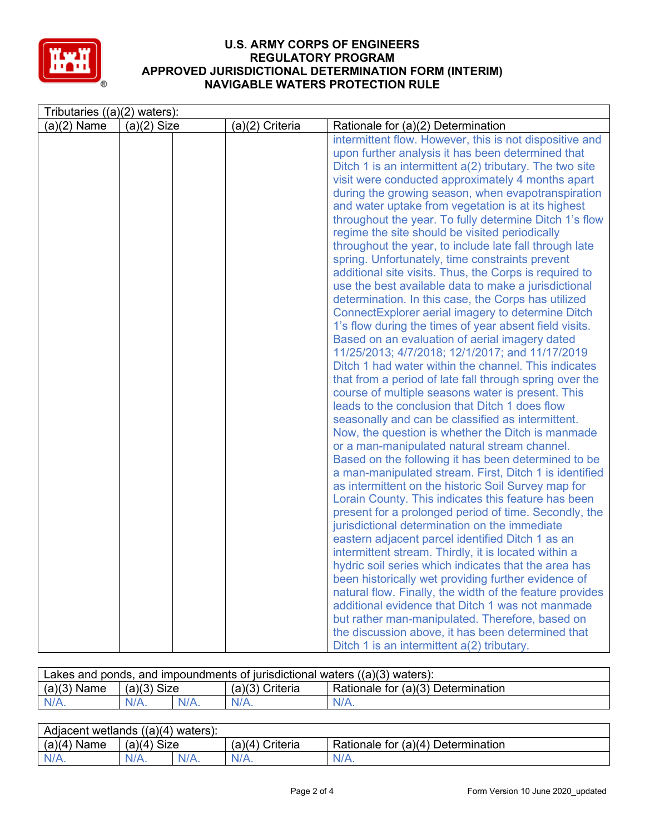

| Tributaries $((a)(2)$ waters): |               |  |                 |                                                           |  |  |
|--------------------------------|---------------|--|-----------------|-----------------------------------------------------------|--|--|
| $(a)(2)$ Name                  | $(a)(2)$ Size |  | (a)(2) Criteria | Rationale for (a)(2) Determination                        |  |  |
|                                |               |  |                 | intermittent flow. However, this is not dispositive and   |  |  |
|                                |               |  |                 | upon further analysis it has been determined that         |  |  |
|                                |               |  |                 | Ditch 1 is an intermittent $a(2)$ tributary. The two site |  |  |
|                                |               |  |                 | visit were conducted approximately 4 months apart         |  |  |
|                                |               |  |                 | during the growing season, when evapotranspiration        |  |  |
|                                |               |  |                 | and water uptake from vegetation is at its highest        |  |  |
|                                |               |  |                 | throughout the year. To fully determine Ditch 1's flow    |  |  |
|                                |               |  |                 | regime the site should be visited periodically            |  |  |
|                                |               |  |                 | throughout the year, to include late fall through late    |  |  |
|                                |               |  |                 | spring. Unfortunately, time constraints prevent           |  |  |
|                                |               |  |                 | additional site visits. Thus, the Corps is required to    |  |  |
|                                |               |  |                 | use the best available data to make a jurisdictional      |  |  |
|                                |               |  |                 | determination. In this case, the Corps has utilized       |  |  |
|                                |               |  |                 | ConnectExplorer aerial imagery to determine Ditch         |  |  |
|                                |               |  |                 | 1's flow during the times of year absent field visits.    |  |  |
|                                |               |  |                 | Based on an evaluation of aerial imagery dated            |  |  |
|                                |               |  |                 | 11/25/2013; 4/7/2018; 12/1/2017; and 11/17/2019           |  |  |
|                                |               |  |                 | Ditch 1 had water within the channel. This indicates      |  |  |
|                                |               |  |                 | that from a period of late fall through spring over the   |  |  |
|                                |               |  |                 | course of multiple seasons water is present. This         |  |  |
|                                |               |  |                 | leads to the conclusion that Ditch 1 does flow            |  |  |
|                                |               |  |                 | seasonally and can be classified as intermittent.         |  |  |
|                                |               |  |                 | Now, the question is whether the Ditch is manmade         |  |  |
|                                |               |  |                 | or a man-manipulated natural stream channel.              |  |  |
|                                |               |  |                 | Based on the following it has been determined to be       |  |  |
|                                |               |  |                 | a man-manipulated stream. First, Ditch 1 is identified    |  |  |
|                                |               |  |                 | as intermittent on the historic Soil Survey map for       |  |  |
|                                |               |  |                 | Lorain County. This indicates this feature has been       |  |  |
|                                |               |  |                 | present for a prolonged period of time. Secondly, the     |  |  |
|                                |               |  |                 | jurisdictional determination on the immediate             |  |  |
|                                |               |  |                 | eastern adjacent parcel identified Ditch 1 as an          |  |  |
|                                |               |  |                 | intermittent stream. Thirdly, it is located within a      |  |  |
|                                |               |  |                 | hydric soil series which indicates that the area has      |  |  |
|                                |               |  |                 | been historically wet providing further evidence of       |  |  |
|                                |               |  |                 | natural flow. Finally, the width of the feature provides  |  |  |
|                                |               |  |                 | additional evidence that Ditch 1 was not manmade          |  |  |
|                                |               |  |                 | but rather man-manipulated. Therefore, based on           |  |  |
|                                |               |  |                 | the discussion above, it has been determined that         |  |  |
|                                |               |  |                 | Ditch 1 is an intermittent a(2) tributary.                |  |  |

| Lakes and ponds, and impoundments of jurisdictional waters $((a)(3)$ waters): |               |         |                   |                                    |  |  |
|-------------------------------------------------------------------------------|---------------|---------|-------------------|------------------------------------|--|--|
| $(a)(3)$ Name                                                                 | $(a)(3)$ Size |         | $(a)(3)$ Criteria | Rationale for (a)(3) Determination |  |  |
| $N/A$ .                                                                       | $N/A$ .       | $N/A$ . | $N/A$ .           | $N/A$ .                            |  |  |

| Adjacent wetlands $((a)(4)$ waters): |               |         |                   |                                    |  |  |
|--------------------------------------|---------------|---------|-------------------|------------------------------------|--|--|
| $(a)(4)$ Name                        | $(a)(4)$ Size |         | $(a)(4)$ Criteria | Rationale for (a)(4) Determination |  |  |
| $N/A$ .                              | $N/A$ .       | $N/A$ . | $N/A$ .           | $N/A$ .                            |  |  |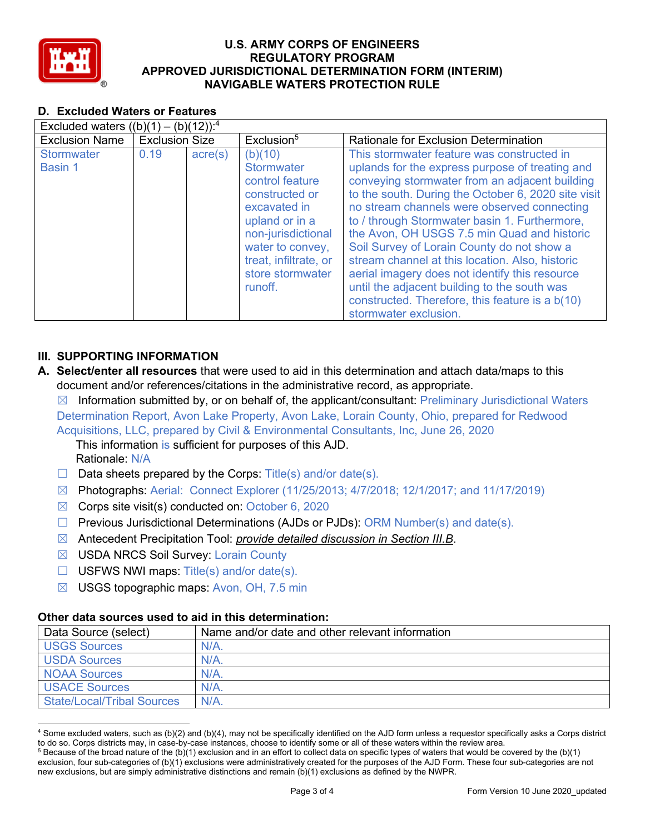

## **D. Excluded Waters or Features**

| Excluded waters $((b)(1) - (b)(12))$ : <sup>4</sup> |                       |                  |                                                                                                                                                                                                       |                                                                                                                                                                                                                                                                                                                                                                                                                                                                                                                                                                                                                                      |  |  |
|-----------------------------------------------------|-----------------------|------------------|-------------------------------------------------------------------------------------------------------------------------------------------------------------------------------------------------------|--------------------------------------------------------------------------------------------------------------------------------------------------------------------------------------------------------------------------------------------------------------------------------------------------------------------------------------------------------------------------------------------------------------------------------------------------------------------------------------------------------------------------------------------------------------------------------------------------------------------------------------|--|--|
| <b>Exclusion Name</b>                               | <b>Exclusion Size</b> |                  | Exclusion <sup>5</sup>                                                                                                                                                                                | <b>Rationale for Exclusion Determination</b>                                                                                                                                                                                                                                                                                                                                                                                                                                                                                                                                                                                         |  |  |
| <b>Stormwater</b><br>Basin 1                        | 0.19                  | $\text{acre}(s)$ | (b)(10)<br><b>Stormwater</b><br>control feature<br>constructed or<br>excavated in<br>upland or in a<br>non-jurisdictional<br>water to convey,<br>treat, infiltrate, or<br>store stormwater<br>runoff. | This stormwater feature was constructed in<br>uplands for the express purpose of treating and<br>conveying stormwater from an adjacent building<br>to the south. During the October 6, 2020 site visit<br>no stream channels were observed connecting<br>to / through Stormwater basin 1. Furthermore,<br>the Avon, OH USGS 7.5 min Quad and historic<br>Soil Survey of Lorain County do not show a<br>stream channel at this location. Also, historic<br>aerial imagery does not identify this resource<br>until the adjacent building to the south was<br>constructed. Therefore, this feature is a b(10)<br>stormwater exclusion. |  |  |

## **III. SUPPORTING INFORMATION**

**A. Select/enter all resources** that were used to aid in this determination and attach data/maps to this document and/or references/citations in the administrative record, as appropriate.

 $\boxtimes$  Information submitted by, or on behalf of, the applicant/consultant: Preliminary Jurisdictional Waters Determination Report, Avon Lake Property, Avon Lake, Lorain County, Ohio, prepared for Redwood Acquisitions, LLC, prepared by Civil & Environmental Consultants, Inc, June 26, 2020

This information is sufficient for purposes of this AJD. Rationale: N/A

- □ Data sheets prepared by the Corps: Title(s) and/or date(s).
- ☒ Photographs: Aerial: Connect Explorer (11/25/2013; 4/7/2018; 12/1/2017; and 11/17/2019)
- $\boxtimes$  Corps site visit(s) conducted on: October 6, 2020
- ☐ Previous Jurisdictional Determinations (AJDs or PJDs): ORM Number(s) and date(s).
- ☒ Antecedent Precipitation Tool: *provide detailed discussion in Section III.B*.
- ☒ USDA NRCS Soil Survey: Lorain County
- $\Box$  USFWS NWI maps: Title(s) and/or date(s).
- $\boxtimes$  USGS topographic maps: Avon, OH, 7.5 min

#### **Other data sources used to aid in this determination:**

| Data Source (select)              | Name and/or date and other relevant information |
|-----------------------------------|-------------------------------------------------|
| <b>USGS Sources</b>               | $N/A$ .                                         |
| <b>USDA Sources</b>               | N/A                                             |
| <b>NOAA Sources</b>               | N/A                                             |
| <b>USACE Sources</b>              | $N/A$ .                                         |
| <b>State/Local/Tribal Sources</b> | N/A                                             |

<sup>4</sup> Some excluded waters, such as (b)(2) and (b)(4), may not be specifically identified on the AJD form unless a requestor specifically asks a Corps district to do so. Corps districts may, in case-by-case instances, choose to identify some or all of these waters within the review area.

 $5$  Because of the broad nature of the (b)(1) exclusion and in an effort to collect data on specific types of waters that would be covered by the (b)(1) exclusion, four sub-categories of (b)(1) exclusions were administratively created for the purposes of the AJD Form. These four sub-categories are not new exclusions, but are simply administrative distinctions and remain (b)(1) exclusions as defined by the NWPR.